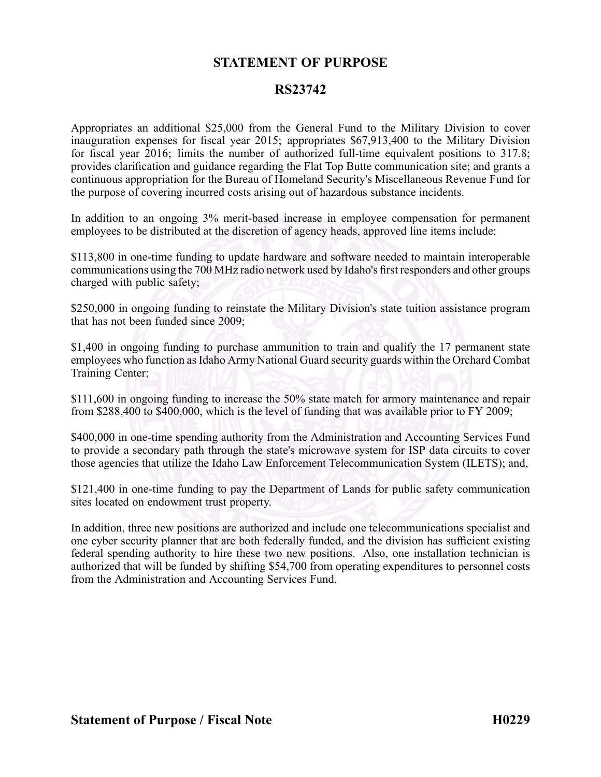## **STATEMENT OF PURPOSE**

### **RS23742**

Appropriates an additional \$25,000 from the General Fund to the Military Division to cover inauguration expenses for fiscal year 2015; appropriates \$67,913,400 to the Military Division for fiscal year 2016; limits the number of authorized full-time equivalent positions to 317.8; provides clarification and guidance regarding the Flat Top Butte communication site; and grants <sup>a</sup> continuous appropriation for the Bureau of Homeland Security's Miscellaneous Revenue Fund for the purpose of covering incurred costs arising out of hazardous substance incidents.

In addition to an ongoing 3% merit-based increase in employee compensation for permanen<sup>t</sup> employees to be distributed at the discretion of agency heads, approved line items include:

\$113,800 in one-time funding to update hardware and software needed to maintain interoperable communications using the 700 MHz radio network used by Idaho's first responders and other groups charged with public safety;

\$250,000 in ongoing funding to reinstate the Military Division's state tuition assistance program that has not been funded since 2009;

\$1,400 in ongoing funding to purchase ammunition to train and qualify the 17 permanent state employees who function asIdaho Army National Guard security guards within the Orchard Combat Training Center;

\$111,600 in ongoing funding to increase the 50% state match for armory maintenance and repair from \$288,400 to \$400,000, which is the level of funding that was available prior to FY 2009;

\$400,000 in one-time spending authority from the Administration and Accounting Services Fund to provide <sup>a</sup> secondary path through the state's microwave system for ISP data circuits to cover those agencies that utilize the Idaho Law Enforcement Telecommunication System (ILETS); and,

\$121,400 in one-time funding to pay the Department of Lands for public safety communication sites located on endowment trust property.

In addition, three new positions are authorized and include one telecommunications specialist and one cyber security planner that are both federally funded, and the division has sufficient existing federal spending authority to hire these two new positions. Also, one installation technician is authorized that will be funded by shifting \$54,700 from operating expenditures to personnel costs from the Administration and Accounting Services Fund.